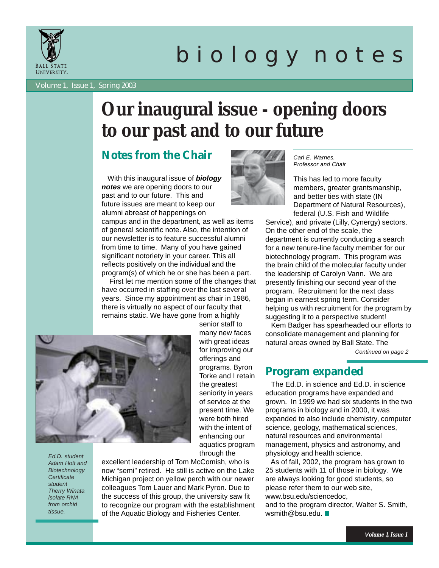

# b i o l o g y n o t e s

Volume 1, Issue 1, Spring 2003

## **Our inaugural issue - opening doors to our past and to our future**

## **Notes from the Chair**

 With this inaugural issue of *biology notes* we are opening doors to our past and to our future. This and future issues are meant to keep our alumni abreast of happenings on

campus and in the department, as well as items of general scientific note. Also, the intention of our newsletter is to feature successful alumni from time to time. Many of you have gained significant notoriety in your career. This all reflects positively on the individual and the program(s) of which he or she has been a part.

 First let me mention some of the changes that have occurred in staffing over the last several years. Since my appointment as chair in 1986, there is virtually no aspect of our faculty that remains static. We have gone from a highly

senior staff to

through the



*Ed.D. student Adam Hott and Biotechnology Certificate student Therry Winata isolate RNA from orchid tissue.*

excellent leadership of Tom McComish, who is now "semi" retired. He still is active on the Lake Michigan project on yellow perch with our newer colleagues Tom Lauer and Mark Pyron. Due to the success of this group, the university saw fit to recognize our program with the establishment of the Aquatic Biology and Fisheries Center.



*Carl E. Warnes, Professor and Chair*

This has led to more faculty members, greater grantsmanship, and better ties with state (IN Department of Natural Resources), federal (U.S. Fish and Wildlife

Service), and private (Lilly, Cynergy) sectors. On the other end of the scale, the department is currently conducting a search for a new tenure-line faculty member for our biotechnology program. This program was the brain child of the molecular faculty under the leadership of Carolyn Vann. We are presently finishing our second year of the program. Recruitment for the next class began in earnest spring term. Consider helping us with recruitment for the program by suggesting it to a perspective student!

 Kem Badger has spearheaded our efforts to consolidate management and planning for natural areas owned by Ball State. The

*Continued on page 2*

## **Program expanded**

 The Ed.D. in science and Ed.D. in science education programs have expanded and grown. In 1999 we had six students in the two programs in biology and in 2000, it was expanded to also include chemistry, computer science, geology, mathematical sciences, natural resources and environmental management, physics and astronomy, and physiology and health science.

 As of fall, 2002, the program has grown to 25 students with 11 of those in biology. We are always looking for good students, so please refer them to our web site, www.bsu.edu/sciencedoc, and to the program director, Walter S. Smith, wsmith@bsu.edu.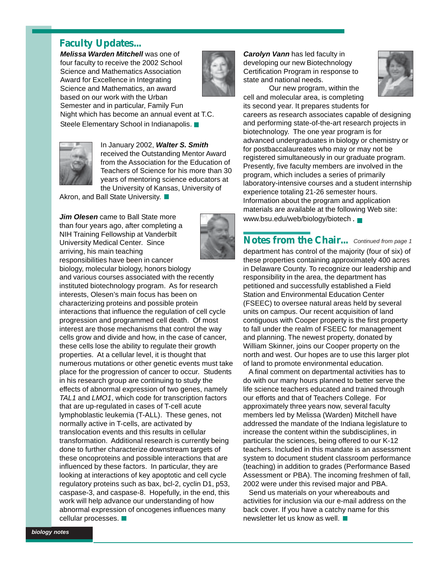## **Faculty Updates...**

*Melissa Warden Mitchell* was one of four faculty to receive the 2002 School Science and Mathematics Association Award for Excellence in Integrating Science and Mathematics, an award based on our work with the Urban Semester and in particular, Family Fun Night which has become an annual event at T.C. Steele Elementary School in Indianapolis.



*Carolyn Vann* has led faculty in developing our new Biotechnology Certification Program in response to state and national needs.



Our new program, within the cell and molecular area, is completing

its second year. It prepares students for careers as research associates capable of designing and performing state-of-the-art research projects in biotechnology. The one year program is for advanced undergraduates in biology or chemistry or for postbaccalaureates who may or may not be registered simultaneously in our graduate program. Presently, five faculty members are involved in the program, which includes a series of primarily laboratory-intensive courses and a student internship experience totaling 21-26 semester hours. Information about the program and application materials are available at the following Web site:

## **Notes from the Chair...** *Continued from page 1*

department has control of the majority (four of six) of these properties containing approximately 400 acres in Delaware County. To recognize our leadership and responsibility in the area, the department has petitioned and successfully established a Field Station and Environmental Education Center (FSEEC) to oversee natural areas held by several units on campus. Our recent acquisition of land contiguous with Cooper property is the first property to fall under the realm of FSEEC for management and planning. The newest property, donated by William Skinner, joins our Cooper property on the north and west. Our hopes are to use this larger plot of land to promote environmental education.

 A final comment on departmental activities has to do with our many hours planned to better serve the life science teachers educated and trained through our efforts and that of Teachers College. For approximately three years now, several faculty members led by Melissa (Warden) Mitchell have addressed the mandate of the Indiana legislature to increase the content within the subdisciplines, in particular the sciences, being offered to our K-12 teachers. Included in this mandate is an assessment system to document student classroom performance (teaching) in addition to grades (Performance Based Assessment or PBA). The incoming freshmen of fall, 2002 were under this revised major and PBA.

 Send us materials on your whereabouts and activities for inclusion via our e-mail address on the back cover. If you have a catchy name for this newsletter let us know as well.



In January 2002, *Walter S. Smith* received the Outstanding Mentor Award from the Association for the Education of Teachers of Science for his more than 30 years of mentoring science educators at the University of Kansas, University of

Akron, and Ball State University.

**Jim Olesen** came to Ball State more than four years ago, after completing a NIH Training Fellowship at Vanderbilt University Medical Center. Since arriving, his main teaching responsibilities have been in cancer



biology, molecular biology, honors biology and various courses associated with the recently instituted biotechnology program. As for research interests, Olesen's main focus has been on characterizing proteins and possible protein interactions that influence the regulation of cell cycle progression and programmed cell death. Of most interest are those mechanisms that control the way cells grow and divide and how, in the case of cancer, these cells lose the ability to regulate their growth properties. At a cellular level, it is thought that numerous mutations or other genetic events must take place for the progression of cancer to occur. Students in his research group are continuing to study the effects of abnormal expression of two genes, namely *TAL1* and *LMO1*, which code for transcription factors that are up-regulated in cases of T-cell acute lymphoblastic leukemia (T-ALL). These genes, not normally active in T-cells, are activated by translocation events and this results in cellular transformation. Additional research is currently being done to further characterize downstream targets of these oncoproteins and possible interactions that are influenced by these factors. In particular, they are looking at interactions of key apoptotic and cell cycle regulatory proteins such as bax, bcl-2, cyclin D1, p53, caspase-3, and caspase-8. Hopefully, in the end, this work will help advance our understanding of how abnormal expression of oncogenes influences many cellular processes.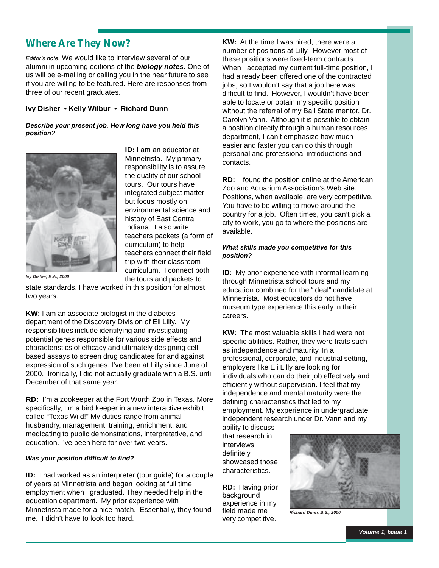## **Where Are They Now?**

*Editor's note.* We would like to interview several of our alumni in upcoming editions of the *biology notes*. One of us will be e-mailing or calling you in the near future to see if you are willing to be featured. Here are responses from three of our recent graduates.

#### **Ivy Disher • Kelly Wilbur • Richard Dunn**

#### *Describe your present job. How long have you held this position?*



**ID:** I am an educator at Minnetrista. My primary responsibility is to assure the quality of our school tours. Our tours have integrated subject matter but focus mostly on environmental science and history of East Central Indiana. I also write teachers packets (a form of curriculum) to help teachers connect their field trip with their classroom curriculum. I connect both the tours and packets to

*Ivy Disher, B.A., 2000*

state standards. I have worked in this position for almost two years.

**KW:** I am an associate biologist in the diabetes department of the Discovery Division of Eli Lilly. My responsibilities include identifying and investigating potential genes responsible for various side effects and characteristics of efficacy and ultimately designing cell based assays to screen drug candidates for and against expression of such genes. I've been at Lilly since June of 2000. Ironically, I did not actually graduate with a B.S. until December of that same year.

**RD:** I'm a zookeeper at the Fort Worth Zoo in Texas. More specifically, I'm a bird keeper in a new interactive exhibit called "Texas Wild!" My duties range from animal husbandry, management, training, enrichment, and medicating to public demonstrations, interpretative, and education. I've been here for over two years.

#### *Was your position difficult to find?*

**ID:** I had worked as an interpreter (tour guide) for a couple of years at Minnetrista and began looking at full time employment when I graduated. They needed help in the education department. My prior experience with Minnetrista made for a nice match. Essentially, they found me. I didn't have to look too hard.

**KW:** At the time I was hired, there were a number of positions at Lilly. However most of these positions were fixed-term contracts. When I accepted my current full-time position, I had already been offered one of the contracted jobs, so I wouldn't say that a job here was difficult to find. However, I wouldn't have been able to locate or obtain my specific position without the referral of my Ball State mentor, Dr. Carolyn Vann. Although it is possible to obtain a position directly through a human resources department, I can't emphasize how much easier and faster you can do this through personal and professional introductions and contacts.

**RD:** I found the position online at the American Zoo and Aquarium Association's Web site. Positions, when available, are very competitive. You have to be willing to move around the country for a job. Often times, you can't pick a city to work, you go to where the positions are available.

#### *What skills made you competitive for this position?*

**ID:** My prior experience with informal learning through Minnetrista school tours and my education combined for the "ideal" candidate at Minnetrista. Most educators do not have museum type experience this early in their careers.

**KW:** The most valuable skills I had were not specific abilities. Rather, they were traits such as independence and maturity. In a professional, corporate, and industrial setting, employers like Eli Lilly are looking for individuals who can do their job effectively and efficiently without supervision. I feel that my independence and mental maturity were the defining characteristics that led to my employment. My experience in undergraduate independent research under Dr. Vann and my

ability to discuss that research in interviews definitely showcased those characteristics.

**RD:** Having prior background experience in my field made me very competitive.



*Richard Dunn, B.S., 2000*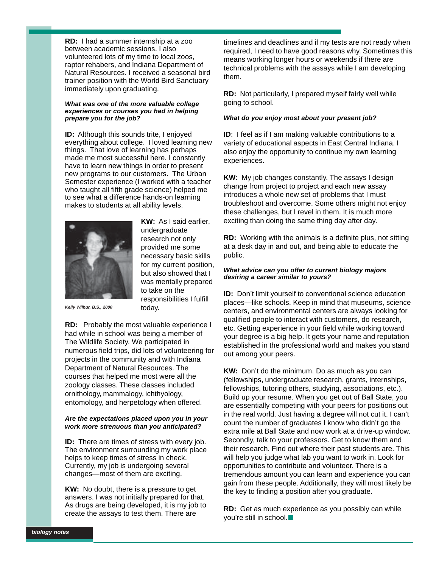**RD:** I had a summer internship at a zoo between academic sessions. I also volunteered lots of my time to local zoos, raptor rehabers, and Indiana Department of Natural Resources. I received a seasonal bird trainer position with the World Bird Sanctuary immediately upon graduating.

#### *What was one of the more valuable college experiences or courses you had in helping prepare you for the job?*

**ID:** Although this sounds trite, I enjoyed everything about college. I loved learning new things. That love of learning has perhaps made me most successful here. I constantly have to learn new things in order to present new programs to our customers. The Urban Semester experience (I worked with a teacher who taught all fifth grade science) helped me to see what a difference hands-on learning makes to students at all ability levels.



**KW:** As I said earlier, undergraduate research not only provided me some necessary basic skills for my current position, but also showed that I was mentally prepared to take on the responsibilities I fulfill today.

*Kelly Wilbur, B.S., 2000*

**RD:** Probably the most valuable experience I had while in school was being a member of The Wildlife Society. We participated in numerous field trips, did lots of volunteering for projects in the community and with Indiana Department of Natural Resources. The courses that helped me most were all the zoology classes. These classes included ornithology, mammalogy, ichthyology, entomology, and herpetology when offered.

#### *Are the expectations placed upon you in your work more strenuous than you anticipated?*

**ID:** There are times of stress with every job. The environment surrounding my work place helps to keep times of stress in check. Currently, my job is undergoing several changes—most of them are exciting.

**KW:** No doubt, there is a pressure to get answers. I was not initially prepared for that. As drugs are being developed, it is my job to create the assays to test them. There are

timelines and deadlines and if my tests are not ready when required, I need to have good reasons why. Sometimes this means working longer hours or weekends if there are technical problems with the assays while I am developing them.

**RD:** Not particularly, I prepared myself fairly well while going to school.

#### *What do you enjoy most about your present job?*

**ID:** I feel as if I am making valuable contributions to a variety of educational aspects in East Central Indiana. I also enjoy the opportunity to continue my own learning experiences.

**KW:** My job changes constantly. The assays I design change from project to project and each new assay introduces a whole new set of problems that I must troubleshoot and overcome. Some others might not enjoy these challenges, but I revel in them. It is much more exciting than doing the same thing day after day.

**RD:** Working with the animals is a definite plus, not sitting at a desk day in and out, and being able to educate the public.

#### *What advice can you offer to current biology majors desiring a career similar to yours?*

**ID:** Don't limit yourself to conventional science education places—like schools. Keep in mind that museums, science centers, and environmental centers are always looking for qualified people to interact with customers, do research, etc. Getting experience in your field while working toward your degree is a big help. It gets your name and reputation established in the professional world and makes you stand out among your peers.

**KW:** Don't do the minimum. Do as much as you can (fellowships, undergraduate research, grants, internships, fellowships, tutoring others, studying, associations, etc.). Build up your resume. When you get out of Ball State, you are essentially competing with your peers for positions out in the real world. Just having a degree will not cut it. I can't count the number of graduates I know who didn't go the extra mile at Ball State and now work at a drive-up window. Secondly, talk to your professors. Get to know them and their research. Find out where their past students are. This will help you judge what lab you want to work in. Look for opportunities to contribute and volunteer. There is a tremendous amount you can learn and experience you can gain from these people. Additionally, they will most likely be the key to finding a position after you graduate.

**RD:** Get as much experience as you possibly can while you're still in school.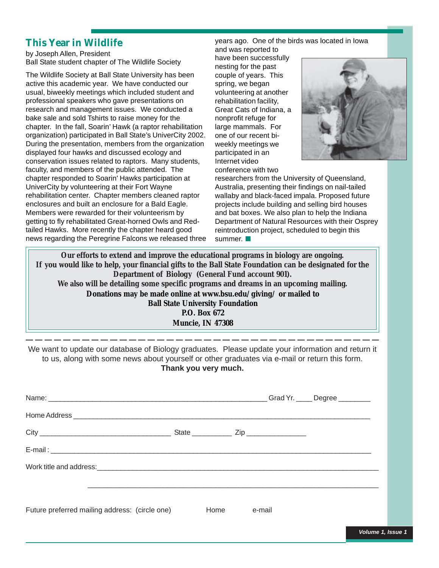## **This Year in Wildlife**

by Joseph Allen, President Ball State student chapter of The Wildlife Society

The Wildlife Society at Ball State University has been active this academic year. We have conducted our usual, biweekly meetings which included student and professional speakers who gave presentations on research and management issues. We conducted a bake sale and sold Tshirts to raise money for the chapter. In the fall, Soarin' Hawk (a raptor rehabilitation organization) participated in Ball State's UniverCity 2002. During the presentation, members from the organization displayed four hawks and discussed ecology and conservation issues related to raptors. Many students, faculty, and members of the public attended. The chapter responded to Soarin' Hawks participation at UniverCity by volunteering at their Fort Wayne rehabilitation center. Chapter members cleaned raptor enclosures and built an enclosure for a Bald Eagle. Members were rewarded for their volunteerism by getting to fly rehabilitated Great-horned Owls and Redtailed Hawks. More recently the chapter heard good news regarding the Peregrine Falcons we released three

## years ago. One of the birds was located in Iowa

and was reported to have been successfully nesting for the past couple of years. This spring, we began volunteering at another rehabilitation facility, Great Cats of Indiana, a nonprofit refuge for large mammals. For one of our recent biweekly meetings we participated in an Internet video conference with two



researchers from the University of Queensland, Australia, presenting their findings on nail-tailed wallaby and black-faced impala. Proposed future projects include building and selling bird houses and bat boxes. We also plan to help the Indiana Department of Natural Resources with their Osprey reintroduction project, scheduled to begin this summer.

**Our efforts to extend and improve the educational programs in biology are ongoing. If you would like to help, your financial gifts to the Ball State Foundation can be designated for the Department of Biology (General Fund account 901). We also will be detailing some specific programs and dreams in an upcoming mailing. Donations may be made online at www.bsu.edu/giving/ or mailed to Ball State University Foundation P.O. Box 672 Muncie, IN 47308**

We want to update our database of Biology graduates. Please update your information and return it to us, along with some news about yourself or other graduates via e-mail or return this form. **Thank you very much.**

|                                                |      |        | Grad Yr. _____ Degree ________ |
|------------------------------------------------|------|--------|--------------------------------|
|                                                |      |        |                                |
|                                                |      |        |                                |
|                                                |      |        |                                |
|                                                |      |        |                                |
|                                                |      |        |                                |
| Future preferred mailing address: (circle one) | Home | e-mail |                                |